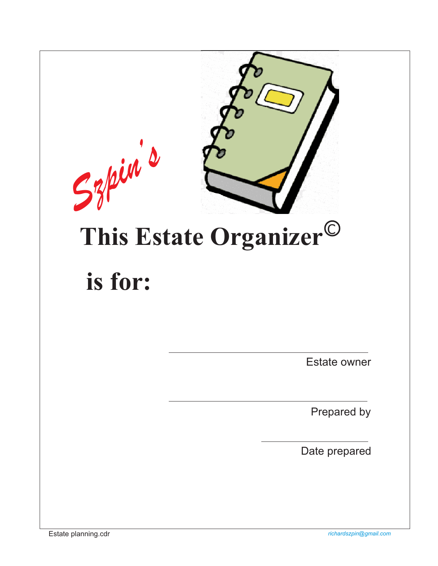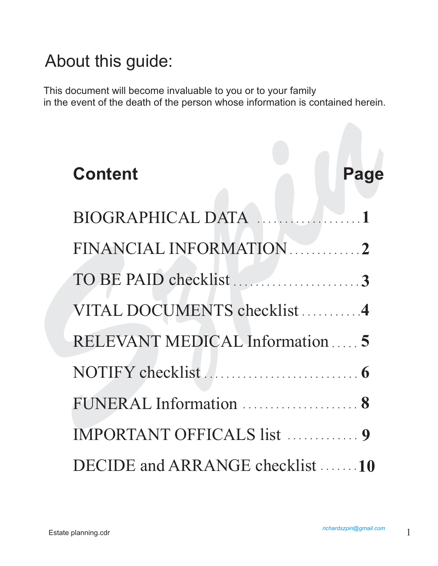## About this guide:

This document will become invaluable to you or to your family in the event of the death of the person whose information is contained herein.

# **Content<br>
BIOGRAPHICAL DATA**<br>
FINANCIAL INFORMATION<br>
2<br>
TO BE PAID checklist<br>
3<br>
VITAL DOCUMENTS checklist<br>
4<br>
RELEVANT MEDICAL Information<br>
5<br>
NOTIFY checklist<br>
6<br>
FUNERAL Information<br>
8<br>
MPORTANT OFFICAL S list<br>
9 **Content Page** BIOGRAPHICAL DATA FINANCIAL INFORMATION . . . . . . . . . . . . 2 TO BE PAID checklist ...........................3 VITAL DOCUMENTS checklist...........4 RELEVANT MEDICAL Information **5** . . . . . NOTIFY checklist **6** . . . . . . . . . . . . . . . . . . . . . . . . . . . . FUNERAL Information ...................... 8 IMPORTANT OFFICALS list . . . . . . . . . . . 9 DECIDE and ARRANGE checklist .......10 **1 2** . . . . . . . . . . . . . . . . . . .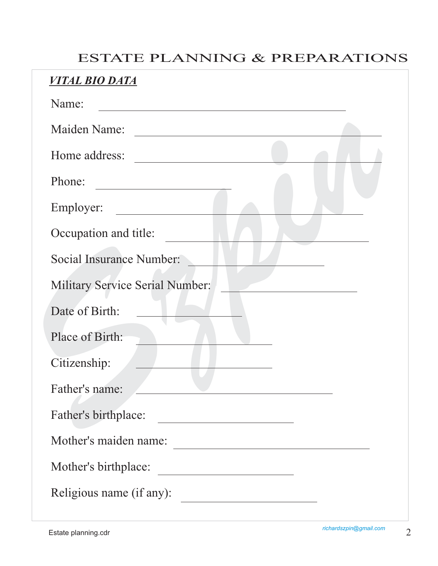### ESTATE PLANNING & PREPARATIONS

| Maiden Name:                    | <u> 1980 - John Stein, Amerikaansk politiker (</u> |  |
|---------------------------------|----------------------------------------------------|--|
| Home address:                   |                                                    |  |
| Phone:                          |                                                    |  |
| Employer:                       |                                                    |  |
| Occupation and title:           |                                                    |  |
| Social Insurance Number:        |                                                    |  |
| Military Service Serial Number: |                                                    |  |
| Date of Birth:                  |                                                    |  |
| Place of Birth:                 |                                                    |  |
| Citizenship:                    |                                                    |  |
| Father's name:                  |                                                    |  |
| Father's birthplace:            |                                                    |  |
| Mother's maiden name:           |                                                    |  |
| Mother's birthplace:            |                                                    |  |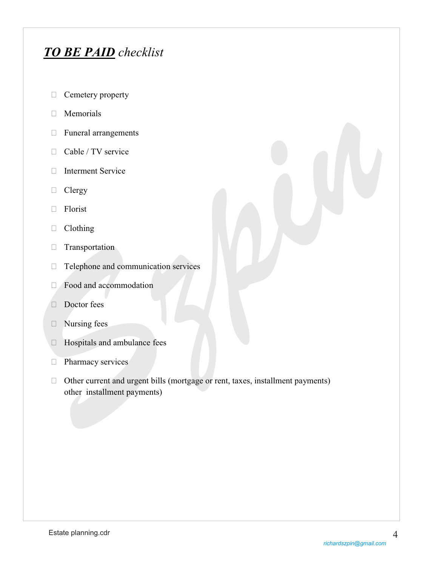## *TO BE PAID checklist*

- $\Box$  Cemetery property
- **Memorials**
- Funeral arrangements
- □ Cable / TV service
- Interment Service
- □ Clergy
- Florist
- Clothing
- Transportation
- $\Box$  Telephone and communication services
- Food and accommodation
- Doctor fees
- □ Nursing fees
- Hospitals and ambulance fees
- **Pharmacy services**
- *S* Functal arrangements<br> *S* Cable / TV service<br> *S* Chergy<br> *S* Interment Service<br> *S* Clergy<br> *S* Florist<br> *S* Telephone and communication services<br> *S* Prod and accommodation<br> *S* Doctor fees<br> *S* Mursing fees<br> *S* M  $\Box$  Other current and urgent bills (mortgage or rent, taxes, installment payments) other installment payments)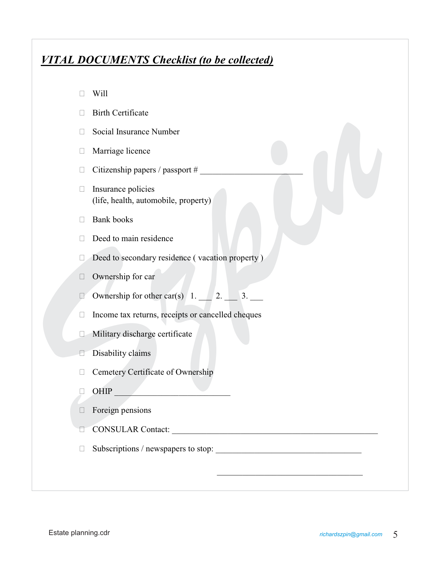#### *VITAL DOCUMENTS Checklist (to be collected)*

- **Birth Certificate**
- $\Box$  Social Insurance Number
- Marriage licence
- $\Box$  Citizenship papers / passport #
- 11 Social Insurance Number<br> **ON Marriage licence**<br>
11 Citizenship papers / passport #<br> **Container in the property**<br> **Container and Society**<br> **S** Bank books<br> **Container in the property**<br> **Container in the state of the stat**  $\Box$  Insurance policies (life, health, automobile, property)
	- □ Bank books
	- $\Box$  Deed to main residence
	- Deed to secondary residence (vacation property)
	- $\Box$  Ownership for car
	- $\Box$  Ownership for other car(s)  $1.$   $2.$   $3.$
	- $\Box$  Income tax returns, receipts or cancelled cheques
	- $\Box$  Military discharge certificate
	- $\Box$  Disability claims
	- □ Cemetery Certificate of Ownership
	- $\Box$  OHIP  $\Box$
	- $\Box$  Foreign pensions
	- CONSULAR Contact: \_\_\_\_\_\_\_\_\_\_\_\_\_\_\_\_\_\_\_\_\_\_\_\_\_\_\_\_\_\_\_\_\_\_\_\_\_\_\_\_\_\_\_\_\_\_\_\_
	- Subscriptions / newspapers to stop: \_\_\_\_\_\_\_\_\_\_\_\_\_\_\_\_\_\_\_\_\_\_\_\_\_\_\_\_\_\_\_\_\_\_

 $\mathcal{L}_\text{max}$  , and the contract of the contract of the contract of the contract of the contract of the contract of the contract of the contract of the contract of the contract of the contract of the contract of the contr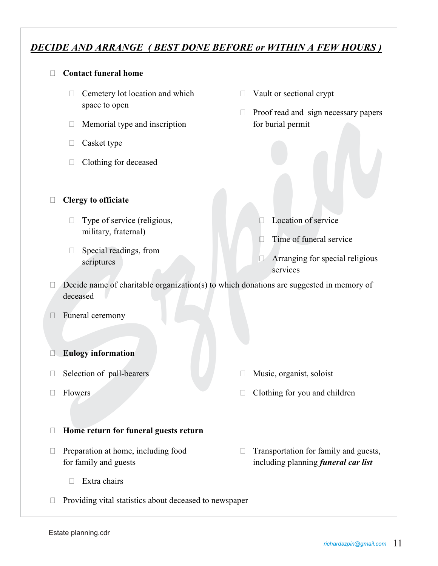#### *DECIDE AND ARRANGE ( BEST DONE BEFORE or WITHIN A FEW HOURS )*

#### **Contact funeral home**

- $\Box$  Cemetery lot location and which space to open
- $\Box$  Memorial type and inscription
- $\Box$  Casket type
- Clothing for deceased
- **Clergy to officiate**
	- $\Box$  Type of service (religious, military, fraternal)
	- $\Box$  Special readings, from scriptures
- □ Vault or sectional crypt
- $\Box$  Proof read and sign necessary papers for burial permit
- **Location of service**
- $\Box$  Time of funeral service
- **Arranging for special religious** services
- *S* Memorial type and inscription<br>
T Casket type<br>
T Clothing for deceased<br> *S* Clergy to officiate<br> *S* Type of service (religious,<br>
military, Fraternal)<br> *Secola readings, from*<br>
services<br>
services<br>
services<br> *S* Arrang  $\Box$  Decide name of charitable organization(s) to which donations are suggested in memory of deceased
	- □ Funeral ceremony
	- **Eulogy information**
	- $\Box$  Selection of pall-bearers
	- □ Flowers
- Music, organist, soloist
- $\Box$  Clothing for you and children
- **Home return for funeral guests return**
- $\Box$  Preparation at home, including food for family and guests
	- $\Box$  Extra chairs
- $\Box$  Providing vital statistics about deceased to newspaper
- $\Box$  Transportation for family and guests, including planning *funeral car list*